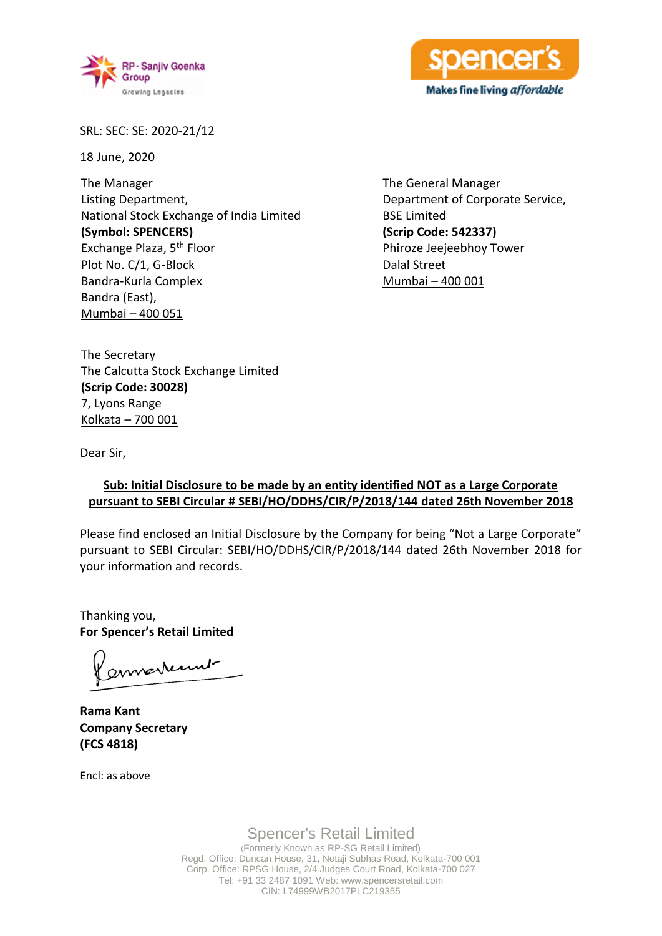



SRL: SEC: SE: 2020-21/12

18 June, 2020

The Manager Listing Department, National Stock Exchange of India Limited **(Symbol: SPENCERS)** Exchange Plaza, 5th Floor Plot No. C/1, G-Block Bandra-Kurla Complex Bandra (East), Mumbai – 400 051

The General Manager Department of Corporate Service, BSE Limited **(Scrip Code: 542337)** Phiroze Jeejeebhoy Tower Dalal Street Mumbai – 400 001

The Secretary The Calcutta Stock Exchange Limited **(Scrip Code: 30028)** 7, Lyons Range Kolkata – 700 001

Dear Sir,

## **Sub: Initial Disclosure to be made by an entity identified NOT as a Large Corporate pursuant to SEBI Circular # SEBI/HO/DDHS/CIR/P/2018/144 dated 26th November 2018**

Please find enclosed an Initial Disclosure by the Company for being "Not a Large Corporate" pursuant to SEBI Circular: SEBI/HO/DDHS/CIR/P/2018/144 dated 26th November 2018 for your information and records.

Thanking you, **For Spencer's Retail Limited**

ernestennt

**Rama Kant Company Secretary (FCS 4818)**

Encl: as above

Spencer's Retail Limited (Formerly Known as RP-SG Retail Limited) Regd. Office: Duncan House, 31, Netaji Subhas Road, Kolkata-700 001 Corp. Office: RPSG House, 2/4 Judges Court Road, Kolkata-700 027 Tel: +91 33 2487 1091 Web: www.spencersretail.com CIN: L74999WB2017PLC219355